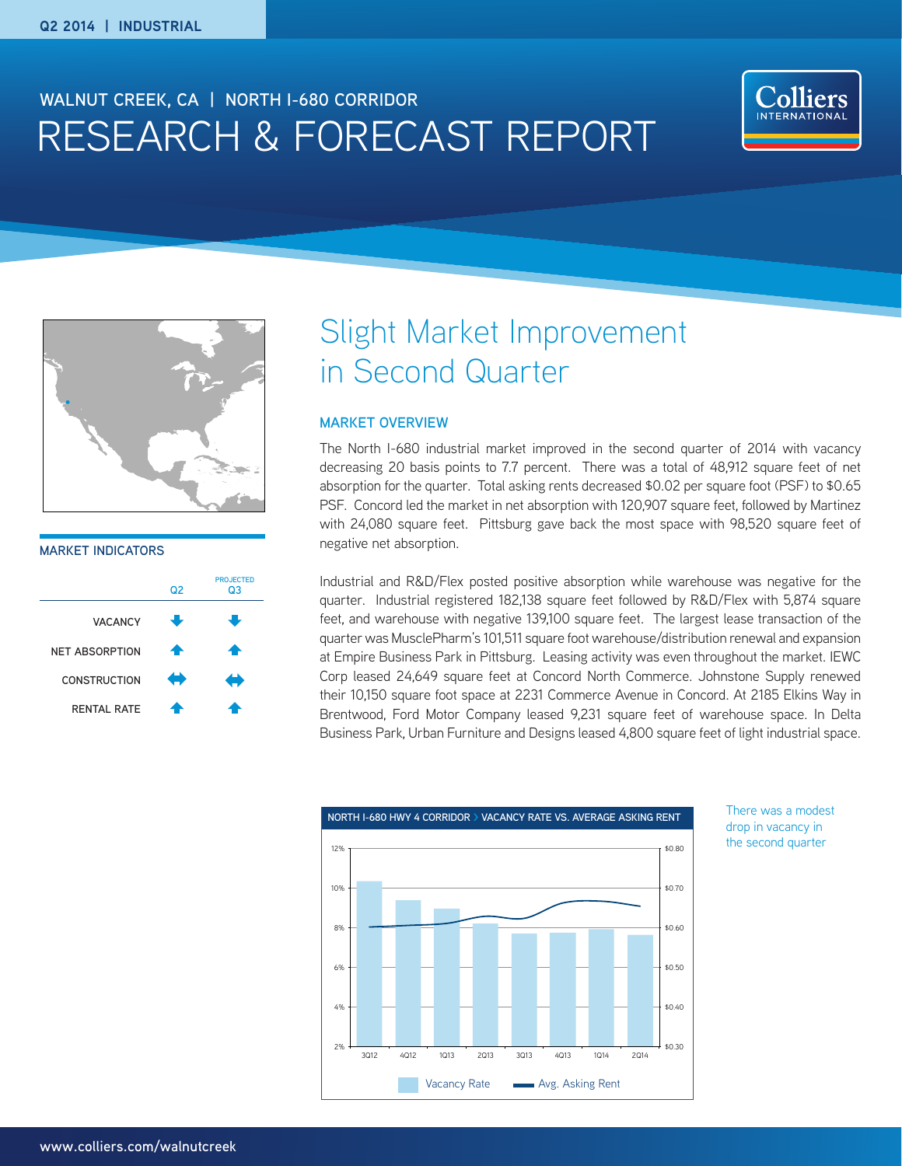# RESEARCH & FORECAST REPORT **WALNUT CREEK, CA | NORTH I-680 CORRIDOR**





**MARKET INDICATORS**



# Slight Market Improvement in Second Quarter

## **MARKET OVERVIEW**

The North I-680 industrial market improved in the second quarter of 2014 with vacancy decreasing 20 basis points to 7.7 percent. There was a total of 48,912 square feet of net absorption for the quarter. Total asking rents decreased \$0.02 per square foot (PSF) to \$0.65 PSF. Concord led the market in net absorption with 120,907 square feet, followed by Martinez with 24,080 square feet. Pittsburg gave back the most space with 98,520 square feet of negative net absorption.

Industrial and R&D/Flex posted positive absorption while warehouse was negative for the quarter. Industrial registered 182,138 square feet followed by R&D/Flex with 5,874 square feet, and warehouse with negative 139,100 square feet. The largest lease transaction of the quarter was MusclePharm's 101,511 square foot warehouse/distribution renewal and expansion at Empire Business Park in Pittsburg. Leasing activity was even throughout the market. IEWC Corp leased 24,649 square feet at Concord North Commerce. Johnstone Supply renewed their 10,150 square foot space at 2231 Commerce Avenue in Concord. At 2185 Elkins Way in Brentwood, Ford Motor Company leased 9,231 square feet of warehouse space. In Delta Business Park, Urban Furniture and Designs leased 4,800 square feet of light industrial space.



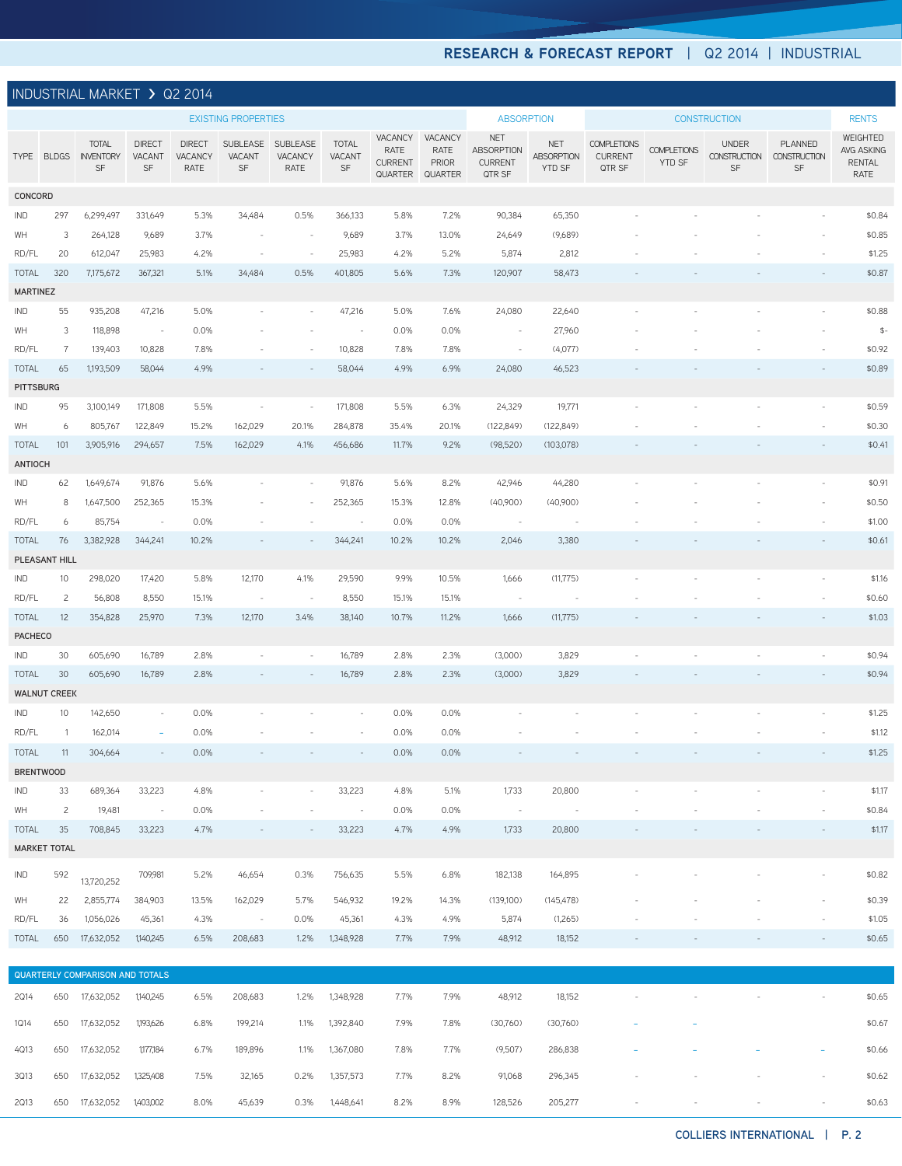## **RESEARCH & FORECAST REPORT** | Q2 2014 | INDUSTRIAL

| <b>INDUSTRIAL MARKET &gt; Q2 2014</b>                                                                                 |                      |                                            |                               |                                  |                          |                             |                              |                                              |                                            |                                                      |                                    |                                                |                                     |                                           |                                      |                                                 |
|-----------------------------------------------------------------------------------------------------------------------|----------------------|--------------------------------------------|-------------------------------|----------------------------------|--------------------------|-----------------------------|------------------------------|----------------------------------------------|--------------------------------------------|------------------------------------------------------|------------------------------------|------------------------------------------------|-------------------------------------|-------------------------------------------|--------------------------------------|-------------------------------------------------|
| <b>EXISTING PROPERTIES</b>                                                                                            |                      |                                            |                               |                                  | <b>ABSORPTION</b>        |                             | <b>CONSTRUCTION</b>          |                                              |                                            | <b>RENTS</b>                                         |                                    |                                                |                                     |                                           |                                      |                                                 |
|                                                                                                                       |                      | <b>TOTAL</b><br>TYPE BLDGS INVENTORY<br>SF | <b>DIRECT</b><br>VACANT<br>SF | <b>DIRECT</b><br>VACANCY<br>RATE | SUBLEASE<br>VACANT<br>SF | SUBLEASE<br>VACANCY<br>RATE | <b>TOTAL</b><br>VACANT<br>SF | VACANCY<br>RATE<br><b>CURRENT</b><br>QUARTER | VACANCY<br>RATE<br>PRIOR<br><b>QUARTER</b> | <b>NET</b><br>ABSORPTION<br><b>CURRENT</b><br>QTR SF | <b>NET</b><br>ABSORPTION<br>YTD SF | <b>COMPLETIONS</b><br><b>CURRENT</b><br>QTR SF | <b>COMPLETIONS</b><br><b>YTD SF</b> | <b>UNDER</b><br><b>CONSTRUCTION</b><br>SF | PLANNED<br><b>CONSTRUCTION</b><br>SF | WEIGHTED<br>AVG ASKING<br><b>RENTAL</b><br>RATE |
| CONCORD                                                                                                               |                      |                                            |                               |                                  |                          |                             |                              |                                              |                                            |                                                      |                                    |                                                |                                     |                                           |                                      |                                                 |
| IND                                                                                                                   | 297                  | 6,299,497                                  | 331,649                       | 5.3%                             | 34,484                   | 0.5%                        | 366,133                      | 5.8%                                         | 7.2%                                       | 90,384                                               | 65,350                             |                                                |                                     |                                           |                                      | \$0.84                                          |
| WH                                                                                                                    | 3                    | 264,128                                    | 9,689                         | 3.7%                             | $\sim$                   | $\sim$                      | 9,689                        | 3.7%                                         | 13.0%                                      | 24,649                                               | (9,689)                            |                                                |                                     |                                           |                                      | \$0.85                                          |
| RD/FL                                                                                                                 | 20                   | 612,047                                    | 25,983                        | 4.2%                             |                          | $\sim$                      | 25,983                       | 4.2%                                         | 5.2%                                       | 5,874                                                | 2,812                              |                                                |                                     |                                           |                                      | \$1.25                                          |
| 320<br>7,175,672<br>5.1%<br>0.5%<br>401,805<br>5.6%<br>7.3%<br>120,907<br><b>TOTAL</b><br>367,321<br>34,484<br>58,473 |                      |                                            |                               |                                  |                          |                             |                              |                                              |                                            | \$0.87                                               |                                    |                                                |                                     |                                           |                                      |                                                 |
| <b>MARTINEZ</b>                                                                                                       |                      |                                            |                               |                                  |                          |                             |                              |                                              |                                            |                                                      |                                    |                                                |                                     |                                           |                                      |                                                 |
| IND                                                                                                                   | 55                   | 935,208                                    | 47,216                        | 5.0%                             |                          |                             | 47,216                       | 5.0%                                         | 7.6%                                       | 24,080                                               | 22,640                             |                                                |                                     |                                           |                                      | \$0.88                                          |
| WH                                                                                                                    | 3                    | 118,898                                    | $\sim$ $-$                    | 0.0%                             |                          |                             | $\sim$                       | 0.0%                                         | 0.0%                                       | $\sim$                                               | 27,960                             |                                                |                                     |                                           |                                      | $\mathbb{S}^-$                                  |
| RD/FL                                                                                                                 | $\frac{7}{2}$        | 139,403                                    | 10,828                        | 7.8%                             |                          |                             | 10,828                       | 7.8%                                         | 7.8%                                       | $\sim$                                               | (4,077)                            |                                                |                                     |                                           |                                      | \$0.92                                          |
| <b>TOTAL</b><br><b>PITTSBURG</b>                                                                                      | 65                   | 1,193,509                                  | 58,044                        | 4.9%                             |                          |                             | 58,044                       | 4.9%                                         | 6.9%                                       | 24,080                                               | 46,523                             |                                                |                                     |                                           |                                      | \$0.89                                          |
| IND                                                                                                                   | 95                   | 3,100,149                                  | 171,808                       | 5.5%                             | $\sim$                   | $\overline{\phantom{a}}$    | 171,808                      | 5.5%                                         | 6.3%                                       | 24,329                                               | 19,771                             |                                                |                                     |                                           |                                      | \$0.59                                          |
| WH                                                                                                                    | 6                    | 805,767                                    | 122,849                       | 15.2%                            | 162,029                  | 20.1%                       | 284,878                      | 35.4%                                        | 20.1%                                      | (122, 849)                                           | (122, 849)                         |                                                |                                     |                                           |                                      | \$0.30                                          |
| <b>TOTAL</b>                                                                                                          | 101                  | 3,905,916                                  | 294,657                       | 7.5%                             | 162,029                  | 4.1%                        | 456,686                      | 11.7%                                        | 9.2%                                       | (98,520)                                             | (103,078)                          |                                                |                                     |                                           |                                      | \$0.41                                          |
| <b>ANTIOCH</b>                                                                                                        |                      |                                            |                               |                                  |                          |                             |                              |                                              |                                            |                                                      |                                    |                                                |                                     |                                           |                                      |                                                 |
| IND                                                                                                                   | 62                   | 1,649,674                                  | 91,876                        | 5.6%                             |                          |                             | 91,876                       | 5.6%                                         | 8.2%                                       | 42,946                                               | 44,280                             |                                                |                                     |                                           |                                      | \$0.91                                          |
| WH                                                                                                                    | 8                    | 1,647,500                                  | 252,365                       | 15.3%                            |                          |                             | 252,365                      | 15.3%                                        | 12.8%                                      | (40,900)                                             | (40,900)                           |                                                |                                     |                                           |                                      | \$0.50                                          |
| RD/FL                                                                                                                 | 6                    | 85,754                                     | $\sim$                        | 0.0%                             |                          |                             | $\sim$                       | 0.0%                                         | 0.0%                                       | $\sim$                                               |                                    |                                                |                                     |                                           |                                      | \$1.00                                          |
| <b>TOTAL</b>                                                                                                          | 76                   | 3,382,928                                  | 344,241                       | 10.2%                            |                          |                             | 344,241                      | 10.2%                                        | 10.2%                                      | 2,046                                                | 3,380                              |                                                |                                     |                                           |                                      | \$0.61                                          |
|                                                                                                                       | PLEASANT HILL        |                                            |                               |                                  |                          |                             |                              |                                              |                                            |                                                      |                                    |                                                |                                     |                                           |                                      |                                                 |
| IND                                                                                                                   | 10                   | 298,020                                    | 17,420                        | 5.8%                             | 12,170                   | 4.1%                        | 29,590                       | 9.9%                                         | 10.5%                                      | 1,666                                                | (11, 775)                          |                                                |                                     |                                           |                                      | \$1.16                                          |
| RD/FL                                                                                                                 | $\overline{c}$       | 56,808                                     | 8,550                         | 15.1%                            | $\sim$                   | $\sim$                      | 8,550                        | 15.1%                                        | 15.1%                                      | $\sim$                                               | $\overline{\phantom{a}}$           |                                                |                                     |                                           |                                      | \$0.60                                          |
| <b>TOTAL</b>                                                                                                          | 12                   | 354,828                                    | 25,970                        | 7.3%                             | 12,170                   | 3.4%                        | 38,140                       | 10.7%                                        | 11.2%                                      | 1,666                                                | (11, 775)                          |                                                |                                     |                                           |                                      | \$1.03                                          |
| <b>PACHECO</b>                                                                                                        |                      |                                            |                               |                                  |                          |                             |                              |                                              |                                            |                                                      |                                    |                                                |                                     |                                           |                                      |                                                 |
| IND                                                                                                                   | 30                   | 605,690                                    | 16,789                        | 2.8%                             |                          |                             | 16,789                       | 2.8%                                         | 2.3%                                       | (3,000)                                              | 3,829                              |                                                |                                     |                                           |                                      | \$0.94                                          |
| <b>TOTAL</b>                                                                                                          | 30                   | 605,690                                    | 16,789                        | 2.8%                             |                          |                             | 16,789                       | 2.8%                                         | 2.3%                                       | (3,000)                                              | 3,829                              |                                                |                                     |                                           |                                      | \$0.94                                          |
| <b>IND</b>                                                                                                            | <b>WALNUT CREEK</b>  |                                            | $\sim$                        | 0.0%                             |                          |                             |                              | 0.0%                                         | 0.0%                                       |                                                      |                                    |                                                |                                     |                                           |                                      | \$1.25                                          |
| RD/FL                                                                                                                 | 10<br>$\overline{1}$ | 142,650<br>162,014                         | $\overline{\phantom{a}}$      | 0.0%                             |                          |                             |                              | 0.0%                                         | 0.0%                                       |                                                      |                                    |                                                |                                     |                                           |                                      | \$1.12                                          |
| TOTAL                                                                                                                 | $-11$                | 304,664                                    | $\sim$                        | 0.0%                             |                          |                             |                              | 0.0%                                         | 0.0%                                       |                                                      |                                    |                                                |                                     |                                           |                                      | \$1.25                                          |
|                                                                                                                       | <b>BRENTWOOD</b>     |                                            |                               |                                  |                          |                             |                              |                                              |                                            |                                                      |                                    |                                                |                                     |                                           |                                      |                                                 |
| IND                                                                                                                   | 33                   | 689,364                                    | 33,223                        | 4.8%                             |                          |                             | 33,223                       | 4.8%                                         | 5.1%                                       | 1,733                                                | 20,800                             |                                                |                                     |                                           |                                      | \$1.17                                          |
| WH                                                                                                                    | $\overline{c}$       | 19,481                                     | $\sim 100$                    | 0.0%                             |                          |                             | $\sim 10^{-10}$              | 0.0%                                         | 0.0%                                       | $\sim 100$                                           | $\sim$ $-$                         |                                                |                                     |                                           |                                      | \$0.84                                          |
| <b>TOTAL</b>                                                                                                          | 35                   | 708,845                                    | 33,223                        | 4.7%                             |                          |                             | 33,223                       | 4.7%                                         | 4.9%                                       | 1,733                                                | 20,800                             |                                                |                                     |                                           |                                      | \$1.17                                          |
| <b>MARKET TOTAL</b>                                                                                                   |                      |                                            |                               |                                  |                          |                             |                              |                                              |                                            |                                                      |                                    |                                                |                                     |                                           |                                      |                                                 |
| IND                                                                                                                   | 592                  | 13,720,252                                 | 709,981                       | 5.2%                             | 46,654                   | 0.3%                        | 756,635                      | 5.5%                                         | 6.8%                                       | 182,138                                              | 164,895                            |                                                |                                     |                                           |                                      | \$0.82                                          |
| WH                                                                                                                    | 22                   | 2,855,774                                  | 384,903                       | 13.5%                            | 162,029                  | 5.7%                        | 546,932                      | 19.2%                                        | 14.3%                                      | (139,100)                                            | (145, 478)                         |                                                |                                     |                                           |                                      | \$0.39                                          |
| RD/FL                                                                                                                 | 36                   | 1,056,026                                  | 45,361                        | 4.3%                             | $\sim 10^{-10}$ m        | 0.0%                        | 45,361                       | 4.3%                                         | 4.9%                                       | 5,874                                                | (1,265)                            |                                                |                                     |                                           |                                      | \$1.05                                          |
| TOTAL                                                                                                                 | 650                  | 17,632,052                                 | 1,140,245                     | 6.5%                             | 208,683                  | 1.2%                        | 1,348,928                    | 7.7%                                         | 7.9%                                       | 48,912                                               | 18,152                             |                                                |                                     |                                           |                                      | \$0.65                                          |
|                                                                                                                       |                      |                                            |                               |                                  |                          |                             |                              |                                              |                                            |                                                      |                                    |                                                |                                     |                                           |                                      |                                                 |
| QUARTERLY COMPARISON AND TOTALS                                                                                       |                      |                                            |                               |                                  |                          |                             |                              |                                              |                                            |                                                      |                                    |                                                |                                     |                                           |                                      |                                                 |
| 2Q14                                                                                                                  |                      | 650 17,632,052                             | 1,140,245                     | 6.5%                             | 208,683                  |                             | 1.2% 1,348,928               | 7.7%                                         | 7.9%                                       | 48,912                                               | 18,152                             | $\overline{\phantom{a}}$                       | $\sim$                              | $\bar{\phantom{a}}$                       | $\overline{\phantom{a}}$             | \$0.65                                          |

1Q14 <sup>650</sup> 17,632,052 1,193,626 6.8% 199,214 1.1% 1,392,840 7.9% 7.8% (30,760) (30,760) - - \$0.67 4Q13 <sup>650</sup> 17,632,052 1,177,184 6.7% 189,896 1.1% 1,367,080 7.8% 7.7% (9,507) 286,838 - - - - \$0.66 3Q13 650 17,632,052 1,325,408 7.5% 32,165 0.2% 1,357,573 7.7% 8.2% 91,068 296,345 - - - - \$0.62 2Q13 650 17,632,052 1,403,002 8.0% 45,639 0.3% 1,448,641 8.2% 8.9% 128,526 205,277 - - - - \$0.63